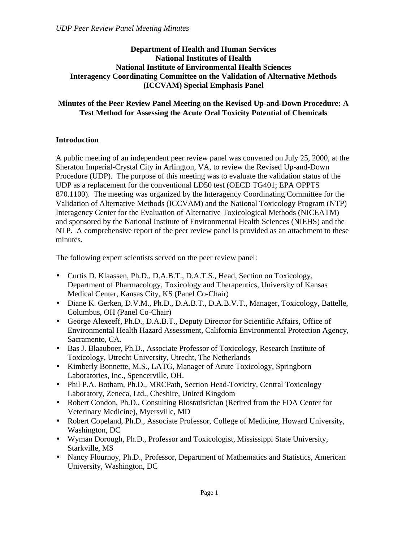### **Department of Health and Human Services National Institutes of Health National Institute of Environmental Health Sciences Interagency Coordinating Committee on the Validation of Alternative Methods (ICCVAM) Special Emphasis Panel**

## **Minutes of the Peer Review Panel Meeting on the Revised Up-and-Down Procedure: A Test Method for Assessing the Acute Oral Toxicity Potential of Chemicals**

# **Introduction**

A public meeting of an independent peer review panel was convened on July 25, 2000, at the Sheraton Imperial-Crystal City in Arlington, VA, to review the Revised Up-and-Down Procedure (UDP). The purpose of this meeting was to evaluate the validation status of the UDP as a replacement for the conventional LD50 test (OECD TG401; EPA OPPTS 870.1100). The meeting was organized by the Interagency Coordinating Committee for the Validation of Alternative Methods (ICCVAM) and the National Toxicology Program (NTP) Interagency Center for the Evaluation of Alternative Toxicological Methods (NICEATM) and sponsored by the National Institute of Environmental Health Sciences (NIEHS) and the NTP. A comprehensive report of the peer review panel is provided as an attachment to these minutes.

The following expert scientists served on the peer review panel:

- • Curtis D. Klaassen, Ph.D., D.A.B.T., D.A.T.S., Head, Section on Toxicology, Department of Pharmacology, Toxicology and Therapeutics, University of Kansas Medical Center, Kansas City, KS (Panel Co-Chair)
- Diane K. Gerken, D.V.M., Ph.D., D.A.B.T., D.A.B.V.T., Manager, Toxicology, Battelle, Columbus, OH (Panel Co-Chair)
- • George Alexeeff, Ph.D., D.A.B.T., Deputy Director for Scientific Affairs, Office of Environmental Health Hazard Assessment, California Environmental Protection Agency, Sacramento, CA.
- Bas J. Blaauboer, Ph.D., Associate Professor of Toxicology, Research Institute of Toxicology, Utrecht University, Utrecht, The Netherlands
- Kimberly Bonnette, M.S., LATG, Manager of Acute Toxicology, Springborn Laboratories, Inc., Spencerville, OH.
- Phil P.A. Botham, Ph.D., MRCPath, Section Head-Toxicity, Central Toxicology Laboratory, Zeneca, Ltd., Cheshire, United Kingdom
- Robert Condon, Ph.D., Consulting Biostatistician (Retired from the FDA Center for Veterinary Medicine), Myersville, MD
- Robert Copeland, Ph.D., Associate Professor, College of Medicine, Howard University, Washington, DC
- • Wyman Dorough, Ph.D., Professor and Toxicologist, Mississippi State University, Starkville, MS
- Nancy Flournoy, Ph.D., Professor, Department of Mathematics and Statistics, American University, Washington, DC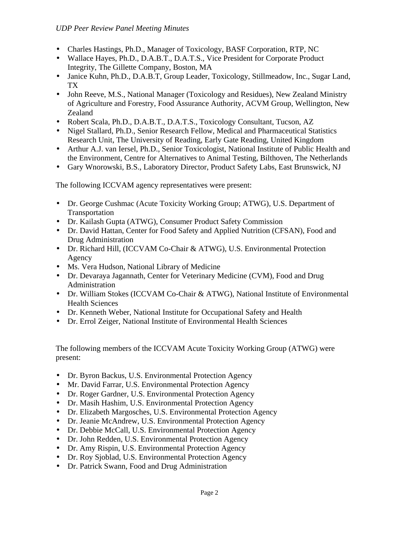- • Charles Hastings, Ph.D., Manager of Toxicology, BASF Corporation, RTP, NC
- Wallace Hayes, Ph.D., D.A.B.T., D.A.T.S., Vice President for Corporate Product Integrity, The Gillette Company, Boston, MA
- Janice Kuhn, Ph.D., D.A.B.T, Group Leader, Toxicology, Stillmeadow, Inc., Sugar Land, TX
- • John Reeve, M.S., National Manager (Toxicology and Residues), New Zealand Ministry of Agriculture and Forestry, Food Assurance Authority, ACVM Group, Wellington, New Zealand
- • Robert Scala, Ph.D., D.A.B.T., D.A.T.S., Toxicology Consultant, Tucson, AZ
- Nigel Stallard, Ph.D., Senior Research Fellow, Medical and Pharmaceutical Statistics Research Unit, The University of Reading, Early Gate Reading, United Kingdom
- Arthur A.J. van Iersel, Ph.D., Senior Toxicologist, National Institute of Public Health and the Environment, Centre for Alternatives to Animal Testing, Bilthoven, The Netherlands
- • Gary Wnorowski, B.S., Laboratory Director, Product Safety Labs, East Brunswick, NJ

The following ICCVAM agency representatives were present:

- Dr. George Cushmac (Acute Toxicity Working Group; ATWG), U.S. Department of Transportation
- Dr. Kailash Gupta (ATWG), Consumer Product Safety Commission
- Dr. David Hattan, Center for Food Safety and Applied Nutrition (CFSAN), Food and Drug Administration
- Dr. Richard Hill, (ICCVAM Co-Chair & ATWG), U.S. Environmental Protection Agency
- Ms. Vera Hudson, National Library of Medicine
- Dr. Devaraya Jagannath, Center for Veterinary Medicine (CVM), Food and Drug Administration
- Dr. William Stokes (ICCVAM Co-Chair & ATWG), National Institute of Environmental Health Sciences
- Dr. Kenneth Weber, National Institute for Occupational Safety and Health
- Dr. Errol Zeiger, National Institute of Environmental Health Sciences

The following members of the ICCVAM Acute Toxicity Working Group (ATWG) were present:

- Dr. Byron Backus, U.S. Environmental Protection Agency
- Mr. David Farrar, U.S. Environmental Protection Agency
- Dr. Roger Gardner, U.S. Environmental Protection Agency
- Dr. Masih Hashim, U.S. Environmental Protection Agency
- Dr. Elizabeth Margosches, U.S. Environmental Protection Agency
- Dr. Jeanie McAndrew, U.S. Environmental Protection Agency
- Dr. Debbie McCall, U.S. Environmental Protection Agency
- Dr. John Redden, U.S. Environmental Protection Agency
- Dr. Amy Rispin, U.S. Environmental Protection Agency
- Dr. Roy Sjoblad, U.S. Environmental Protection Agency
- • Dr. Patrick Swann, Food and Drug Administration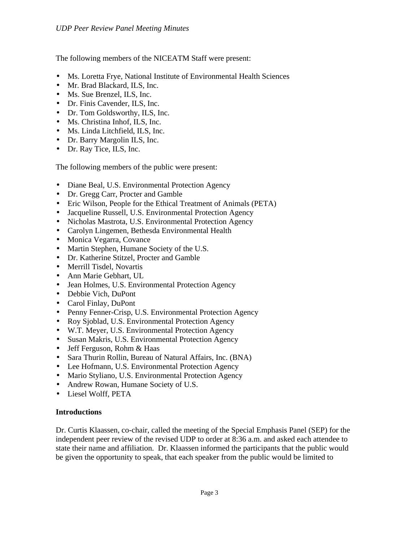The following members of the NICEATM Staff were present:

- Ms. Loretta Frye, National Institute of Environmental Health Sciences
- Mr. Brad Blackard, ILS, Inc.
- Ms. Sue Brenzel, ILS, Inc.
- Dr. Finis Cavender, ILS, Inc.
- Dr. Tom Goldsworthy, ILS, Inc.
- Ms. Christina Inhof, ILS, Inc.
- Ms. Linda Litchfield, ILS, Inc.
- Dr. Barry Margolin ILS, Inc.
- Dr. Ray Tice, ILS, Inc.

The following members of the public were present:

- Diane Beal, U.S. Environmental Protection Agency
- Dr. Gregg Carr, Procter and Gamble
- Eric Wilson, People for the Ethical Treatment of Animals (PETA)
- Jacqueline Russell, U.S. Environmental Protection Agency
- Nicholas Mastrota, U.S. Environmental Protection Agency
- Carolyn Lingemen, Bethesda Environmental Health
- Monica Vegarra, Covance
- Martin Stephen, Humane Society of the U.S.
- Dr. Katherine Stitzel, Procter and Gamble
- Merrill Tisdel, Novartis
- Ann Marie Gebhart, UL
- Jean Holmes, U.S. Environmental Protection Agency
- Debbie Vich, DuPont
- Carol Finlay, DuPont
- Penny Fenner-Crisp, U.S. Environmental Protection Agency
- Roy Sjoblad, U.S. Environmental Protection Agency
- W.T. Meyer, U.S. Environmental Protection Agency
- Susan Makris, U.S. Environmental Protection Agency
- Jeff Ferguson, Rohm & Haas
- Sara Thurin Rollin, Bureau of Natural Affairs, Inc. (BNA)
- Lee Hofmann, U.S. Environmental Protection Agency
- Mario Styliano, U.S. Environmental Protection Agency
- Andrew Rowan, Humane Society of U.S.
- Liesel Wolff, PETA

#### **Introductions**

Dr. Curtis Klaassen, co-chair, called the meeting of the Special Emphasis Panel (SEP) for the independent peer review of the revised UDP to order at 8:36 a.m. and asked each attendee to state their name and affiliation. Dr. Klaassen informed the participants that the public would be given the opportunity to speak, that each speaker from the public would be limited to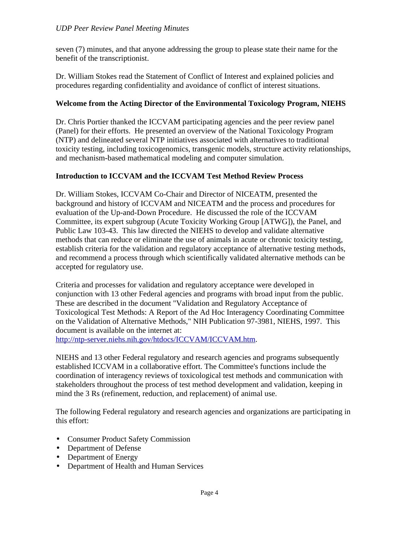seven (7) minutes, and that anyone addressing the group to please state their name for the benefit of the transcriptionist.

Dr. William Stokes read the Statement of Conflict of Interest and explained policies and procedures regarding confidentiality and avoidance of conflict of interest situations.

## **Welcome from the Acting Director of the Environmental Toxicology Program, NIEHS**

Dr. Chris Portier thanked the ICCVAM participating agencies and the peer review panel (Panel) for their efforts. He presented an overview of the National Toxicology Program (NTP) and delineated several NTP initiatives associated with alternatives to traditional toxicity testing, including toxicogenomics, transgenic models, structure activity relationships, and mechanism-based mathematical modeling and computer simulation.

### **Introduction to ICCVAM and the ICCVAM Test Method Review Process**

Dr. William Stokes, ICCVAM Co-Chair and Director of NICEATM, presented the background and history of ICCVAM and NICEATM and the process and procedures for evaluation of the Up-and-Down Procedure. He discussed the role of the ICCVAM Committee, its expert subgroup (Acute Toxicity Working Group [ATWG]), the Panel, and Public Law 103-43. This law directed the NIEHS to develop and validate alternative methods that can reduce or eliminate the use of animals in acute or chronic toxicity testing, establish criteria for the validation and regulatory acceptance of alternative testing methods, and recommend a process through which scientifically validated alternative methods can be accepted for regulatory use.

Criteria and processes for validation and regulatory acceptance were developed in conjunction with 13 other Federal agencies and programs with broad input from the public. These are described in the document "Validation and Regulatory Acceptance of Toxicological Test Methods: A Report of the Ad Hoc Interagency Coordinating Committee on the Validation of Alternative Methods," NIH Publication 97-3981, NIEHS, 1997. This document is available on the internet at: [http://ntp-server.niehs.nih.gov/htdocs/ICCVAM/ICCVAM.htm.](http://ntp-server.niehs.nih.gov/htdocs/ICCVAM/ICCVAM.html) 

NIEHS and 13 other Federal regulatory and research agencies and programs subsequently established ICCVAM in a collaborative effort. The Committee's functions include the coordination of interagency reviews of toxicological test methods and communication with stakeholders throughout the process of test method development and validation, keeping in mind the 3 Rs (refinement, reduction, and replacement) of animal use.

The following Federal regulatory and research agencies and organizations are participating in this effort:

- Consumer Product Safety Commission
- Department of Defense
- Department of Energy
- Department of Health and Human Services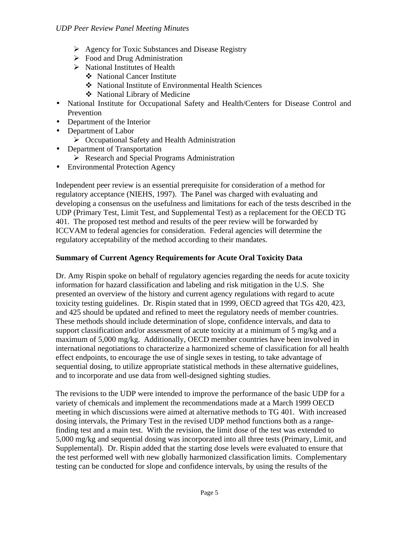- $\triangleright$  Agency for Toxic Substances and Disease Registry
- $\triangleright$  Food and Drug Administration
- $\triangleright$  National Institutes of Health
	- � National Cancer Institute
	- � National Institute of Environmental Health Sciences
	- � National Library of Medicine
- National Institute for Occupational Safety and Health/Centers for Disease Control and Prevention
- Department of the Interior
- Department of Labor
	- $\sum$  Occupational Safety and Health Administration
- Department of Transportation
	- **EXECUTE:** Research and Special Programs Administration
- Environmental Protection Agency

Independent peer review is an essential prerequisite for consideration of a method for regulatory acceptance (NIEHS, 1997). The Panel was charged with evaluating and developing a consensus on the usefulness and limitations for each of the tests described in the UDP (Primary Test, Limit Test, and Supplemental Test) as a replacement for the OECD TG 401. The proposed test method and results of the peer review will be forwarded by ICCVAM to federal agencies for consideration. Federal agencies will determine the regulatory acceptability of the method according to their mandates.

# **Summary of Current Agency Requirements for Acute Oral Toxicity Data**

Dr. Amy Rispin spoke on behalf of regulatory agencies regarding the needs for acute toxicity information for hazard classification and labeling and risk mitigation in the U.S. She presented an overview of the history and current agency regulations with regard to acute toxicity testing guidelines. Dr. Rispin stated that in 1999, OECD agreed that TGs 420, 423, and 425 should be updated and refined to meet the regulatory needs of member countries. These methods should include determination of slope, confidence intervals, and data to support classification and/or assessment of acute toxicity at a minimum of 5 mg/kg and a maximum of 5,000 mg/kg. Additionally, OECD member countries have been involved in international negotiations to characterize a harmonized scheme of classification for all health effect endpoints, to encourage the use of single sexes in testing, to take advantage of sequential dosing, to utilize appropriate statistical methods in these alternative guidelines, and to incorporate and use data from well-designed sighting studies.

The revisions to the UDP were intended to improve the performance of the basic UDP for a variety of chemicals and implement the recommendations made at a March 1999 OECD meeting in which discussions were aimed at alternative methods to TG 401. With increased dosing intervals, the Primary Test in the revised UDP method functions both as a rangefinding test and a main test. With the revision, the limit dose of the test was extended to 5,000 mg/kg and sequential dosing was incorporated into all three tests (Primary, Limit, and Supplemental). Dr. Rispin added that the starting dose levels were evaluated to ensure that the test performed well with new globally harmonized classification limits. Complementary testing can be conducted for slope and confidence intervals, by using the results of the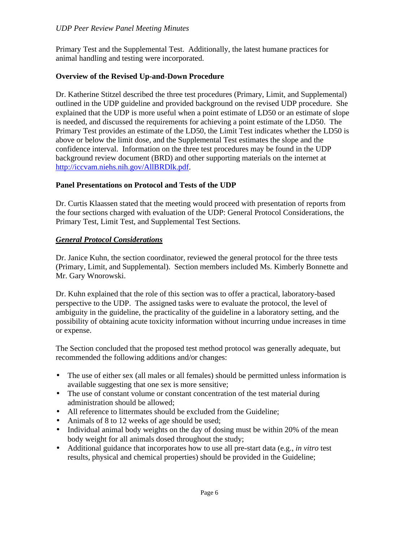#### *UDP Peer Review Panel Meeting Minutes*

Primary Test and the Supplemental Test. Additionally, the latest humane practices for animal handling and testing were incorporated.

#### **Overview of the Revised Up-and-Down Procedure**

Dr. Katherine Stitzel described the three test procedures (Primary, Limit, and Supplemental) outlined in the UDP guideline and provided background on the revised UDP procedure. She explained that the UDP is more useful when a point estimate of LD50 or an estimate of slope is needed, and discussed the requirements for achieving a point estimate of the LD50. The Primary Test provides an estimate of the LD50, the Limit Test indicates whether the LD50 is above or below the limit dose, and the Supplemental Test estimates the slope and the confidence interval. Information on the three test procedures may be found in the UDP background review document (BRD) and other supporting materials on the internet at [http://iccvam.niehs.nih.gov/AllBRDlk.pdf.](http://iccvam.niehs.nih.gov/AllBRDlk.pdf) 

#### **Panel Presentations on Protocol and Tests of the UDP**

Dr. Curtis Klaassen stated that the meeting would proceed with presentation of reports from the four sections charged with evaluation of the UDP: General Protocol Considerations, the Primary Test, Limit Test, and Supplemental Test Sections.

#### *General Protocol Considerations*

Dr. Janice Kuhn, the section coordinator, reviewed the general protocol for the three tests (Primary, Limit, and Supplemental). Section members included Ms. Kimberly Bonnette and Mr. Gary Wnorowski.

Dr. Kuhn explained that the role of this section was to offer a practical, laboratory-based perspective to the UDP. The assigned tasks were to evaluate the protocol, the level of ambiguity in the guideline, the practicality of the guideline in a laboratory setting, and the possibility of obtaining acute toxicity information without incurring undue increases in time or expense.

The Section concluded that the proposed test method protocol was generally adequate, but recommended the following additions and/or changes:

- The use of either sex (all males or all females) should be permitted unless information is available suggesting that one sex is more sensitive;
- The use of constant volume or constant concentration of the test material during administration should be allowed;
- All reference to littermates should be excluded from the Guideline;
- Animals of 8 to 12 weeks of age should be used;
- Individual animal body weights on the day of dosing must be within 20% of the mean body weight for all animals dosed throughout the study;
- Additional guidance that incorporates how to use all pre-start data (e.g., *in vitro* test results, physical and chemical properties) should be provided in the Guideline;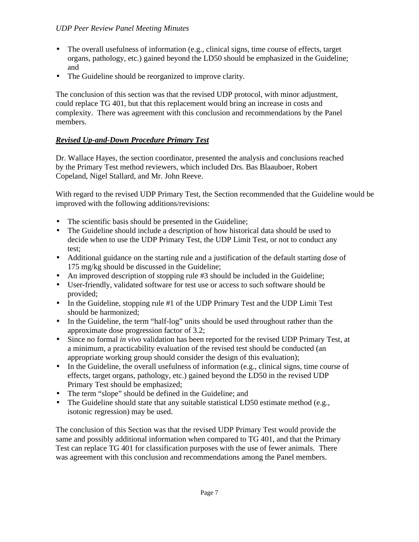### *UDP Peer Review Panel Meeting Minutes*

- The overall usefulness of information (e.g., clinical signs, time course of effects, target organs, pathology, etc.) gained beyond the LD50 should be emphasized in the Guideline; and
- The Guideline should be reorganized to improve clarity.

The conclusion of this section was that the revised UDP protocol, with minor adjustment, could replace TG 401, but that this replacement would bring an increase in costs and complexity. There was agreement with this conclusion and recommendations by the Panel members.

## *Revised Up-and-Down Procedure Primary Test*

Dr. Wallace Hayes, the section coordinator, presented the analysis and conclusions reached by the Primary Test method reviewers, which included Drs. Bas Blaauboer, Robert Copeland, Nigel Stallard, and Mr. John Reeve.

With regard to the revised UDP Primary Test, the Section recommended that the Guideline would be improved with the following additions/revisions:

- The scientific basis should be presented in the Guideline;
- The Guideline should include a description of how historical data should be used to decide when to use the UDP Primary Test, the UDP Limit Test, or not to conduct any test;
- • Additional guidance on the starting rule and a justification of the default starting dose of 175 mg/kg should be discussed in the Guideline;
- An improved description of stopping rule  $#3$  should be included in the Guideline;
- • User-friendly, validated software for test use or access to such software should be provided;
- In the Guideline, stopping rule #1 of the UDP Primary Test and the UDP Limit Test should be harmonized;
- In the Guideline, the term "half-log" units should be used throughout rather than the approximate dose progression factor of 3.2;
- • Since no formal *in vivo* validation has been reported for the revised UDP Primary Test, at a minimum, a practicability evaluation of the revised test should be conducted (an appropriate working group should consider the design of this evaluation);
- In the Guideline, the overall usefulness of information (e.g., clinical signs, time course of effects, target organs, pathology, etc.) gained beyond the LD50 in the revised UDP Primary Test should be emphasized;
- The term "slope" should be defined in the Guideline; and
- The Guideline should state that any suitable statistical LD50 estimate method (e.g., isotonic regression) may be used.

The conclusion of this Section was that the revised UDP Primary Test would provide the same and possibly additional information when compared to TG 401, and that the Primary Test can replace TG 401 for classification purposes with the use of fewer animals. There was agreement with this conclusion and recommendations among the Panel members.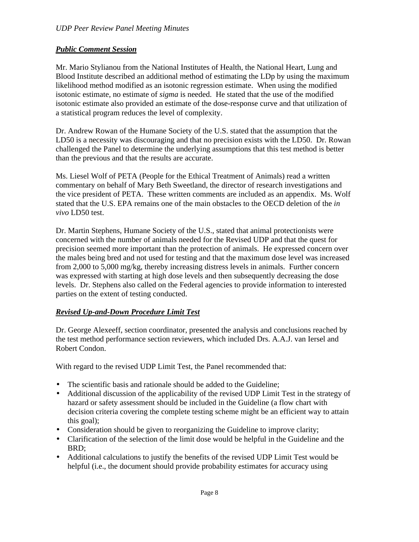## *Public Comment Session*

Mr. Mario Stylianou from the National Institutes of Health, the National Heart, Lung and Blood Institute described an additional method of estimating the LDp by using the maximum likelihood method modified as an isotonic regression estimate. When using the modified isotonic estimate, no estimate of *sigma* is needed. He stated that the use of the modified isotonic estimate also provided an estimate of the dose-response curve and that utilization of a statistical program reduces the level of complexity.

Dr. Andrew Rowan of the Humane Society of the U.S. stated that the assumption that the LD50 is a necessity was discouraging and that no precision exists with the LD50. Dr. Rowan challenged the Panel to determine the underlying assumptions that this test method is better than the previous and that the results are accurate.

Ms. Liesel Wolf of PETA (People for the Ethical Treatment of Animals) read a written commentary on behalf of Mary Beth Sweetland, the director of research investigations and the vice president of PETA. These written comments are included as an appendix. Ms. Wolf stated that the U.S. EPA remains one of the main obstacles to the OECD deletion of the *in vivo* LD50 test.

Dr. Martin Stephens, Humane Society of the U.S., stated that animal protectionists were concerned with the number of animals needed for the Revised UDP and that the quest for precision seemed more important than the protection of animals. He expressed concern over the males being bred and not used for testing and that the maximum dose level was increased from 2,000 to 5,000 mg/kg, thereby increasing distress levels in animals. Further concern was expressed with starting at high dose levels and then subsequently decreasing the dose levels. Dr. Stephens also called on the Federal agencies to provide information to interested parties on the extent of testing conducted.

## *Revised Up-and-Down Procedure Limit Test*

Dr. George Alexeeff, section coordinator, presented the analysis and conclusions reached by the test method performance section reviewers, which included Drs. A.A.J. van Iersel and Robert Condon.

With regard to the revised UDP Limit Test, the Panel recommended that:

- The scientific basis and rationale should be added to the Guideline;
- Additional discussion of the applicability of the revised UDP Limit Test in the strategy of hazard or safety assessment should be included in the Guideline (a flow chart with decision criteria covering the complete testing scheme might be an efficient way to attain this goal);
- Consideration should be given to reorganizing the Guideline to improve clarity;
- • Clarification of the selection of the limit dose would be helpful in the Guideline and the BRD;
- • Additional calculations to justify the benefits of the revised UDP Limit Test would be helpful (i.e., the document should provide probability estimates for accuracy using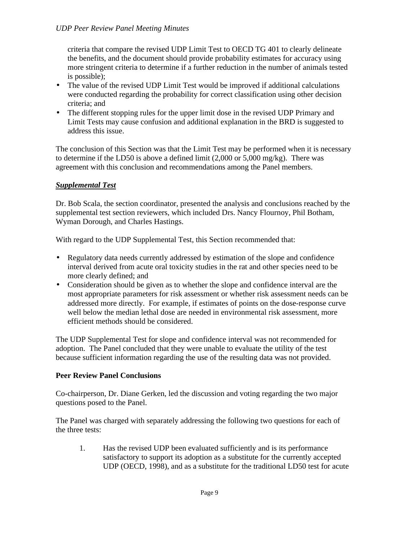criteria that compare the revised UDP Limit Test to OECD TG 401 to clearly delineate the benefits, and the document should provide probability estimates for accuracy using more stringent criteria to determine if a further reduction in the number of animals tested is possible);

- The value of the revised UDP Limit Test would be improved if additional calculations were conducted regarding the probability for correct classification using other decision criteria; and
- The different stopping rules for the upper limit dose in the revised UDP Primary and Limit Tests may cause confusion and additional explanation in the BRD is suggested to address this issue.

The conclusion of this Section was that the Limit Test may be performed when it is necessary to determine if the LD50 is above a defined limit (2,000 or 5,000 mg/kg). There was agreement with this conclusion and recommendations among the Panel members.

# *Supplemental Test*

Dr. Bob Scala, the section coordinator, presented the analysis and conclusions reached by the supplemental test section reviewers, which included Drs. Nancy Flournoy, Phil Botham, Wyman Dorough, and Charles Hastings.

With regard to the UDP Supplemental Test, this Section recommended that:

- Regulatory data needs currently addressed by estimation of the slope and confidence interval derived from acute oral toxicity studies in the rat and other species need to be more clearly defined; and
- • Consideration should be given as to whether the slope and confidence interval are the most appropriate parameters for risk assessment or whether risk assessment needs can be addressed more directly. For example, if estimates of points on the dose-response curve well below the median lethal dose are needed in environmental risk assessment, more efficient methods should be considered.

The UDP Supplemental Test for slope and confidence interval was not recommended for adoption. The Panel concluded that they were unable to evaluate the utility of the test because sufficient information regarding the use of the resulting data was not provided.

## **Peer Review Panel Conclusions**

Co-chairperson, Dr. Diane Gerken, led the discussion and voting regarding the two major questions posed to the Panel.

The Panel was charged with separately addressing the following two questions for each of the three tests:

1. Has the revised UDP been evaluated sufficiently and is its performance satisfactory to support its adoption as a substitute for the currently accepted UDP (OECD, 1998), and as a substitute for the traditional LD50 test for acute